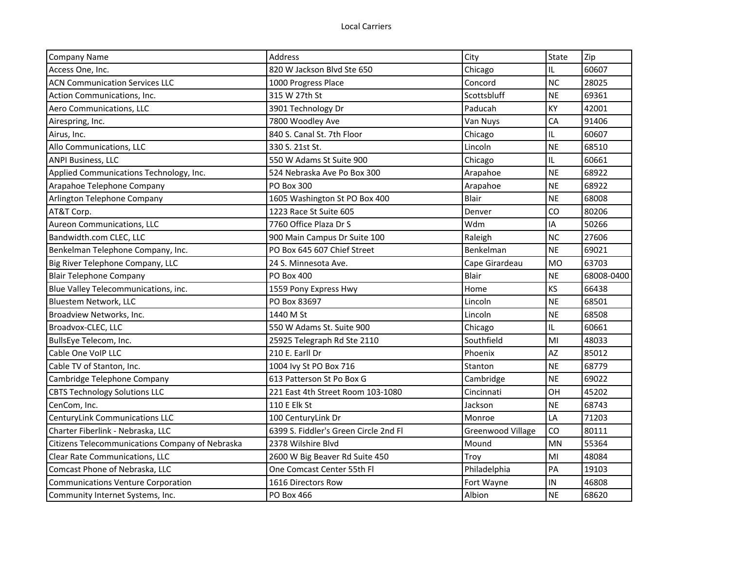| <b>Company Name</b>                             | <b>Address</b>                        | City              | State     | Zip        |
|-------------------------------------------------|---------------------------------------|-------------------|-----------|------------|
| Access One, Inc.                                | 820 W Jackson Blyd Ste 650            | Chicago           | IL        | 60607      |
| <b>ACN Communication Services LLC</b>           | 1000 Progress Place                   | Concord           | <b>NC</b> | 28025      |
| Action Communications, Inc.                     | 315 W 27th St                         | Scottsbluff       | <b>NE</b> | 69361      |
| Aero Communications, LLC                        | 3901 Technology Dr                    | Paducah           | KY        | 42001      |
| Airespring, Inc.                                | 7800 Woodley Ave                      | Van Nuys          | CA        | 91406      |
| Airus, Inc.                                     | 840 S. Canal St. 7th Floor            | Chicago           | IL        | 60607      |
| Allo Communications, LLC                        | 330 S. 21st St.                       | Lincoln           | <b>NE</b> | 68510      |
| <b>ANPI Business, LLC</b>                       | 550 W Adams St Suite 900              | Chicago           | IL        | 60661      |
| Applied Communications Technology, Inc.         | 524 Nebraska Ave Po Box 300           | Arapahoe          | <b>NE</b> | 68922      |
| Arapahoe Telephone Company                      | <b>PO Box 300</b>                     | Arapahoe          | <b>NE</b> | 68922      |
| Arlington Telephone Company                     | 1605 Washington St PO Box 400         | Blair             | <b>NE</b> | 68008      |
| AT&T Corp.                                      | 1223 Race St Suite 605                | Denver            | CO        | 80206      |
| Aureon Communications, LLC                      | 7760 Office Plaza Dr S                | Wdm               | IA        | 50266      |
| Bandwidth.com CLEC, LLC                         | 900 Main Campus Dr Suite 100          | Raleigh           | <b>NC</b> | 27606      |
| Benkelman Telephone Company, Inc.               | PO Box 645 607 Chief Street           | Benkelman         | <b>NE</b> | 69021      |
| Big River Telephone Company, LLC                | 24 S. Minnesota Ave.                  | Cape Girardeau    | <b>MO</b> | 63703      |
| <b>Blair Telephone Company</b>                  | <b>PO Box 400</b>                     | Blair             | <b>NE</b> | 68008-0400 |
| Blue Valley Telecommunications, inc.            | 1559 Pony Express Hwy                 | Home              | KS        | 66438      |
| Bluestem Network, LLC                           | PO Box 83697                          | Lincoln           | <b>NE</b> | 68501      |
| Broadview Networks, Inc.                        | 1440 M St                             | Lincoln           | <b>NE</b> | 68508      |
| Broadvox-CLEC, LLC                              | 550 W Adams St. Suite 900             | Chicago           | IL        | 60661      |
| BullsEye Telecom, Inc.                          | 25925 Telegraph Rd Ste 2110           | Southfield        | MI        | 48033      |
| Cable One VoIP LLC                              | 210 E. Earll Dr                       | Phoenix           | AZ        | 85012      |
| Cable TV of Stanton, Inc.                       | 1004 lvy St PO Box 716                | Stanton           | <b>NE</b> | 68779      |
| Cambridge Telephone Company                     | 613 Patterson St Po Box G             | Cambridge         | <b>NE</b> | 69022      |
| <b>CBTS Technology Solutions LLC</b>            | 221 East 4th Street Room 103-1080     | Cincinnati        | OH        | 45202      |
| CenCom, Inc.                                    | 110 E Elk St                          | Jackson           | <b>NE</b> | 68743      |
| <b>CenturyLink Communications LLC</b>           | 100 CenturyLink Dr                    | Monroe            | LA        | 71203      |
| Charter Fiberlink - Nebraska, LLC               | 6399 S. Fiddler's Green Circle 2nd Fl | Greenwood Village | CO        | 80111      |
| Citizens Telecommunications Company of Nebraska | 2378 Wilshire Blyd                    | Mound             | <b>MN</b> | 55364      |
| Clear Rate Communications, LLC                  | 2600 W Big Beaver Rd Suite 450        | Troy              | MI        | 48084      |
| Comcast Phone of Nebraska, LLC                  | One Comcast Center 55th Fl            | Philadelphia      | PA        | 19103      |
| <b>Communications Venture Corporation</b>       | 1616 Directors Row                    | Fort Wayne        | IN        | 46808      |
| Community Internet Systems, Inc.                | PO Box 466                            | Albion            | <b>NE</b> | 68620      |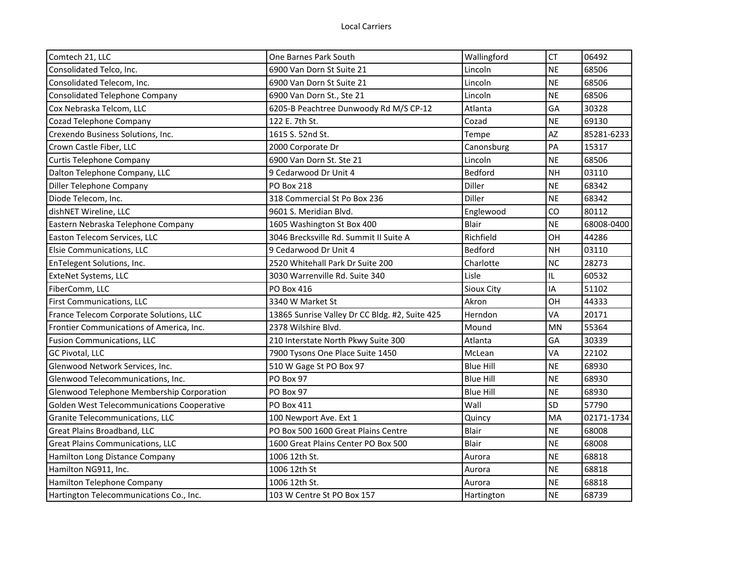| Comtech 21, LLC                            | One Barnes Park South                          | Wallingford      | <b>CT</b> | 06492      |
|--------------------------------------------|------------------------------------------------|------------------|-----------|------------|
| Consolidated Telco, Inc.                   | 6900 Van Dorn St Suite 21                      | Lincoln          | <b>NE</b> | 68506      |
| Consolidated Telecom, Inc.                 | 6900 Van Dorn St Suite 21                      | Lincoln          | <b>NE</b> | 68506      |
| Consolidated Telephone Company             | 6900 Van Dorn St., Ste 21                      | Lincoln          | <b>NE</b> | 68506      |
| Cox Nebraska Telcom, LLC                   | 6205-B Peachtree Dunwoody Rd M/S CP-12         | Atlanta          | GA        | 30328      |
| Cozad Telephone Company                    | 122 E. 7th St.                                 | Cozad            | <b>NE</b> | 69130      |
| Crexendo Business Solutions, Inc.          | 1615 S. 52nd St.                               | Tempe            | AZ        | 85281-6233 |
| Crown Castle Fiber, LLC                    | 2000 Corporate Dr                              | Canonsburg       | PA        | 15317      |
| Curtis Telephone Company                   | 6900 Van Dorn St. Ste 21                       | Lincoln          | <b>NE</b> | 68506      |
| Dalton Telephone Company, LLC              | 9 Cedarwood Dr Unit 4                          | <b>Bedford</b>   | <b>NH</b> | 03110      |
| Diller Telephone Company                   | <b>PO Box 218</b>                              | Diller           | <b>NE</b> | 68342      |
| Diode Telecom, Inc.                        | 318 Commercial St Po Box 236                   | Diller           | <b>NE</b> | 68342      |
| dishNET Wireline, LLC                      | 9601 S. Meridian Blvd.                         | Englewood        | CO        | 80112      |
| Eastern Nebraska Telephone Company         | 1605 Washington St Box 400                     | <b>Blair</b>     | <b>NE</b> | 68008-0400 |
| Easton Telecom Services, LLC               | 3046 Brecksville Rd. Summit II Suite A         | Richfield        | OH        | 44286      |
| Elsie Communications, LLC                  | 9 Cedarwood Dr Unit 4                          | Bedford          | <b>NH</b> | 03110      |
| EnTelegent Solutions, Inc.                 | 2520 Whitehall Park Dr Suite 200               | Charlotte        | <b>NC</b> | 28273      |
| ExteNet Systems, LLC                       | 3030 Warrenville Rd. Suite 340                 | Lisle            | IL.       | 60532      |
| FiberComm, LLC                             | <b>PO Box 416</b>                              | Sioux City       | IA        | 51102      |
| First Communications, LLC                  | 3340 W Market St                               | Akron            | <b>OH</b> | 44333      |
| France Telecom Corporate Solutions, LLC    | 13865 Sunrise Valley Dr CC Bldg. #2, Suite 425 | Herndon          | VA        | 20171      |
| Frontier Communications of America, Inc.   | 2378 Wilshire Blyd.                            | Mound            | <b>MN</b> | 55364      |
| <b>Fusion Communications, LLC</b>          | 210 Interstate North Pkwy Suite 300            | Atlanta          | GA        | 30339      |
| GC Pivotal, LLC                            | 7900 Tysons One Place Suite 1450               | McLean           | VA        | 22102      |
| Glenwood Network Services, Inc.            | 510 W Gage St PO Box 97                        | <b>Blue Hill</b> | <b>NE</b> | 68930      |
| Glenwood Telecommunications, Inc.          | PO Box 97                                      | <b>Blue Hill</b> | <b>NE</b> | 68930      |
| Glenwood Telephone Membership Corporation  | PO Box 97                                      | <b>Blue Hill</b> | <b>NE</b> | 68930      |
| Golden West Telecommunications Cooperative | <b>PO Box 411</b>                              | Wall             | SD        | 57790      |
| Granite Telecommunications, LLC            | 100 Newport Ave. Ext 1                         | Quincy           | MA        | 02171-1734 |
| Great Plains Broadband, LLC                | PO Box 500 1600 Great Plains Centre            | Blair            | <b>NE</b> | 68008      |
| <b>Great Plains Communications, LLC</b>    | 1600 Great Plains Center PO Box 500            | <b>Blair</b>     | <b>NE</b> | 68008      |
| Hamilton Long Distance Company             | 1006 12th St.                                  | Aurora           | <b>NE</b> | 68818      |
| Hamilton NG911, Inc.                       | 1006 12th St                                   | Aurora           | <b>NE</b> | 68818      |
| Hamilton Telephone Company                 | 1006 12th St.                                  | Aurora           | <b>NE</b> | 68818      |
| Hartington Telecommunications Co., Inc.    | 103 W Centre St PO Box 157                     | Hartington       | <b>NE</b> | 68739      |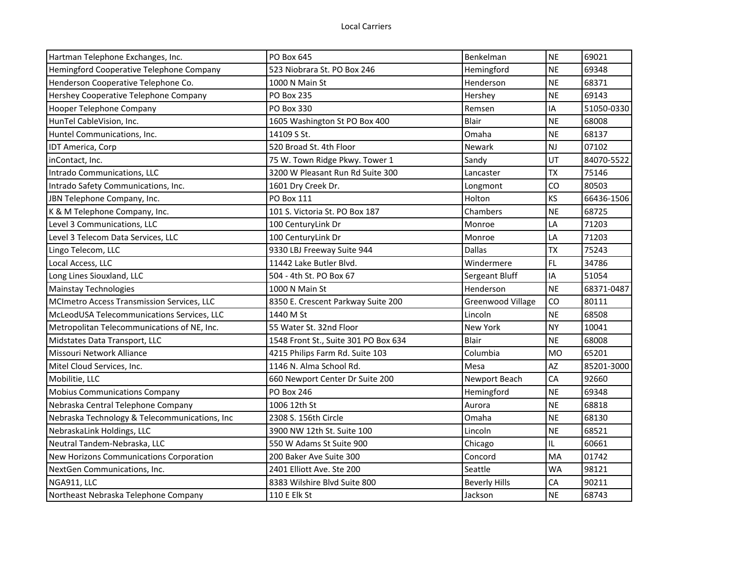| Hartman Telephone Exchanges, Inc.             | <b>PO Box 645</b>                    | Benkelman            | <b>NE</b> | 69021      |
|-----------------------------------------------|--------------------------------------|----------------------|-----------|------------|
| Hemingford Cooperative Telephone Company      | 523 Niobrara St. PO Box 246          | Hemingford           | <b>NE</b> | 69348      |
| Henderson Cooperative Telephone Co.           | 1000 N Main St                       | Henderson            | <b>NE</b> | 68371      |
| Hershey Cooperative Telephone Company         | <b>PO Box 235</b>                    | Hershey              | <b>NE</b> | 69143      |
| Hooper Telephone Company                      | PO Box 330                           | Remsen               | IA        | 51050-0330 |
| HunTel CableVision, Inc.                      | 1605 Washington St PO Box 400        | Blair                | <b>NE</b> | 68008      |
| Huntel Communications, Inc.                   | 14109 S St.                          | Omaha                | <b>NE</b> | 68137      |
| IDT America, Corp                             | 520 Broad St. 4th Floor              | Newark               | <b>NJ</b> | 07102      |
| inContact, Inc.                               | 75 W. Town Ridge Pkwy. Tower 1       | Sandy                | UT        | 84070-5522 |
| Intrado Communications, LLC                   | 3200 W Pleasant Run Rd Suite 300     | Lancaster            | <b>TX</b> | 75146      |
| Intrado Safety Communications, Inc.           | 1601 Dry Creek Dr.                   | Longmont             | CO        | 80503      |
| JBN Telephone Company, Inc.                   | <b>PO Box 111</b>                    | Holton               | KS        | 66436-1506 |
| K & M Telephone Company, Inc.                 | 101 S. Victoria St. PO Box 187       | Chambers             | <b>NE</b> | 68725      |
| Level 3 Communications, LLC                   | 100 CenturyLink Dr                   | Monroe               | LA        | 71203      |
| Level 3 Telecom Data Services, LLC            | 100 CenturyLink Dr                   | Monroe               | LA        | 71203      |
| Lingo Telecom, LLC                            | 9330 LBJ Freeway Suite 944           | <b>Dallas</b>        | <b>TX</b> | 75243      |
| Local Access, LLC                             | 11442 Lake Butler Blvd.              | Windermere           | <b>FL</b> | 34786      |
| Long Lines Siouxland, LLC                     | 504 - 4th St. PO Box 67              | Sergeant Bluff       | IA        | 51054      |
| <b>Mainstay Technologies</b>                  | 1000 N Main St                       | Henderson            | <b>NE</b> | 68371-0487 |
| MCImetro Access Transmission Services, LLC    | 8350 E. Crescent Parkway Suite 200   | Greenwood Village    | CO        | 80111      |
| McLeodUSA Telecommunications Services, LLC    | 1440 M St                            | Lincoln              | <b>NE</b> | 68508      |
| Metropolitan Telecommunications of NE, Inc.   | 55 Water St. 32nd Floor              | <b>New York</b>      | <b>NY</b> | 10041      |
| Midstates Data Transport, LLC                 | 1548 Front St., Suite 301 PO Box 634 | <b>Blair</b>         | <b>NE</b> | 68008      |
| Missouri Network Alliance                     | 4215 Philips Farm Rd. Suite 103      | Columbia             | <b>MO</b> | 65201      |
| Mitel Cloud Services, Inc.                    | 1146 N. Alma School Rd.              | Mesa                 | AZ        | 85201-3000 |
| Mobilitie, LLC                                | 660 Newport Center Dr Suite 200      | Newport Beach        | CA        | 92660      |
| <b>Mobius Communications Company</b>          | PO Box 246                           | Hemingford           | <b>NE</b> | 69348      |
| Nebraska Central Telephone Company            | 1006 12th St                         | Aurora               | <b>NE</b> | 68818      |
| Nebraska Technology & Telecommunications, Inc | 2308 S. 156th Circle                 | Omaha                | <b>NE</b> | 68130      |
| NebraskaLink Holdings, LLC                    | 3900 NW 12th St. Suite 100           | Lincoln              | <b>NE</b> | 68521      |
| Neutral Tandem-Nebraska, LLC                  | 550 W Adams St Suite 900             | Chicago              | IL        | 60661      |
| New Horizons Communications Corporation       | 200 Baker Ave Suite 300              | Concord              | MA        | 01742      |
| NextGen Communications, Inc.                  | 2401 Elliott Ave. Ste 200            | Seattle              | <b>WA</b> | 98121      |
| NGA911, LLC                                   | 8383 Wilshire Blvd Suite 800         | <b>Beverly Hills</b> | CA        | 90211      |
| Northeast Nebraska Telephone Company          | 110 E Elk St                         | Jackson              | <b>NE</b> | 68743      |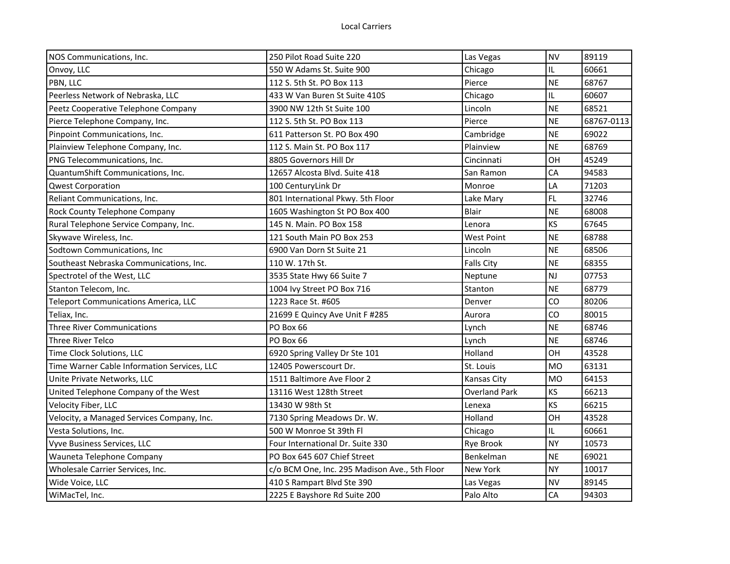| NOS Communications, Inc.                    | 250 Pilot Road Suite 220                      | Las Vegas         | <b>NV</b> | 89119      |
|---------------------------------------------|-----------------------------------------------|-------------------|-----------|------------|
| Onvoy, LLC                                  | 550 W Adams St. Suite 900                     | Chicago           | IL        | 60661      |
| PBN, LLC                                    | 112 S. 5th St. PO Box 113                     | Pierce            | <b>NE</b> | 68767      |
| Peerless Network of Nebraska, LLC           | 433 W Van Buren St Suite 410S                 | Chicago           | IL        | 60607      |
| Peetz Cooperative Telephone Company         | 3900 NW 12th St Suite 100                     | Lincoln           | <b>NE</b> | 68521      |
| Pierce Telephone Company, Inc.              | 112 S. 5th St. PO Box 113                     | Pierce            | <b>NE</b> | 68767-0113 |
| Pinpoint Communications, Inc.               | 611 Patterson St. PO Box 490                  | Cambridge         | <b>NE</b> | 69022      |
| Plainview Telephone Company, Inc.           | 112 S. Main St. PO Box 117                    | Plainview         | <b>NE</b> | 68769      |
| PNG Telecommunications, Inc.                | 8805 Governors Hill Dr                        | Cincinnati        | OH        | 45249      |
| QuantumShift Communications, Inc.           | 12657 Alcosta Blvd. Suite 418                 | San Ramon         | CA        | 94583      |
| <b>Qwest Corporation</b>                    | 100 CenturyLink Dr                            | Monroe            | LA        | 71203      |
| Reliant Communications, Inc.                | 801 International Pkwy. 5th Floor             | Lake Mary         | <b>FL</b> | 32746      |
| Rock County Telephone Company               | 1605 Washington St PO Box 400                 | Blair             | <b>NE</b> | 68008      |
| Rural Telephone Service Company, Inc.       | 145 N. Main. PO Box 158                       | Lenora            | KS        | 67645      |
| Skywave Wireless, Inc.                      | 121 South Main PO Box 253                     | <b>West Point</b> | <b>NE</b> | 68788      |
| Sodtown Communications, Inc                 | 6900 Van Dorn St Suite 21                     | Lincoln           | <b>NE</b> | 68506      |
| Southeast Nebraska Communications, Inc.     | 110 W. 17th St.                               | <b>Falls City</b> | <b>NE</b> | 68355      |
| Spectrotel of the West, LLC                 | 3535 State Hwy 66 Suite 7                     | Neptune           | <b>NJ</b> | 07753      |
| Stanton Telecom, Inc.                       | 1004 Ivy Street PO Box 716                    | Stanton           | <b>NE</b> | 68779      |
| <b>Teleport Communications America, LLC</b> | 1223 Race St. #605                            | Denver            | CO        | 80206      |
| Teliax, Inc.                                | 21699 E Quincy Ave Unit F #285                | Aurora            | CO        | 80015      |
| <b>Three River Communications</b>           | PO Box 66                                     | Lynch             | <b>NE</b> | 68746      |
| <b>Three River Telco</b>                    | PO Box 66                                     | Lynch             | <b>NE</b> | 68746      |
| Time Clock Solutions, LLC                   | 6920 Spring Valley Dr Ste 101                 | Holland           | OH        | 43528      |
| Time Warner Cable Information Services, LLC | 12405 Powerscourt Dr.                         | St. Louis         | <b>MO</b> | 63131      |
| Unite Private Networks, LLC                 | 1511 Baltimore Ave Floor 2                    | Kansas City       | <b>MO</b> | 64153      |
| United Telephone Company of the West        | 13116 West 128th Street                       | Overland Park     | KS        | 66213      |
| Velocity Fiber, LLC                         | 13430 W 98th St                               | Lenexa            | KS        | 66215      |
| Velocity, a Managed Services Company, Inc.  | 7130 Spring Meadows Dr. W.                    | Holland           | OH        | 43528      |
| Vesta Solutions, Inc.                       | 500 W Monroe St 39th Fl                       | Chicago           | IL        | 60661      |
| Vyve Business Services, LLC                 | Four International Dr. Suite 330              | Rye Brook         | <b>NY</b> | 10573      |
| Wauneta Telephone Company                   | PO Box 645 607 Chief Street                   | Benkelman         | <b>NE</b> | 69021      |
| Wholesale Carrier Services, Inc.            | c/o BCM One, Inc. 295 Madison Ave., 5th Floor | New York          | <b>NY</b> | 10017      |
| Wide Voice, LLC                             | 410 S Rampart Blvd Ste 390                    | Las Vegas         | <b>NV</b> | 89145      |
| WiMacTel, Inc.                              | 2225 E Bayshore Rd Suite 200                  | Palo Alto         | <b>CA</b> | 94303      |